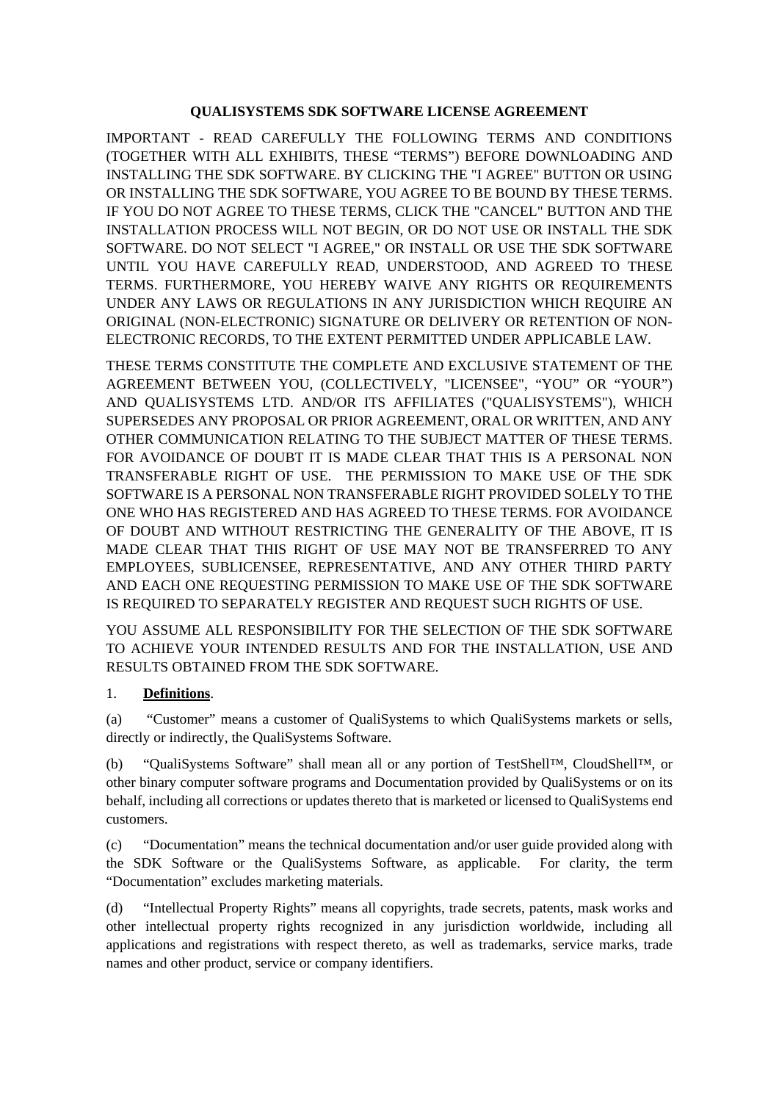#### **QUALISYSTEMS SDK SOFTWARE LICENSE AGREEMENT**

IMPORTANT - READ CAREFULLY THE FOLLOWING TERMS AND CONDITIONS (TOGETHER WITH ALL EXHIBITS, THESE "TERMS") BEFORE DOWNLOADING AND INSTALLING THE SDK SOFTWARE. BY CLICKING THE "I AGREE" BUTTON OR USING OR INSTALLING THE SDK SOFTWARE, YOU AGREE TO BE BOUND BY THESE TERMS. IF YOU DO NOT AGREE TO THESE TERMS, CLICK THE "CANCEL" BUTTON AND THE INSTALLATION PROCESS WILL NOT BEGIN, OR DO NOT USE OR INSTALL THE SDK SOFTWARE. DO NOT SELECT "I AGREE," OR INSTALL OR USE THE SDK SOFTWARE UNTIL YOU HAVE CAREFULLY READ, UNDERSTOOD, AND AGREED TO THESE TERMS. FURTHERMORE, YOU HEREBY WAIVE ANY RIGHTS OR REQUIREMENTS UNDER ANY LAWS OR REGULATIONS IN ANY JURISDICTION WHICH REQUIRE AN ORIGINAL (NON-ELECTRONIC) SIGNATURE OR DELIVERY OR RETENTION OF NON-ELECTRONIC RECORDS, TO THE EXTENT PERMITTED UNDER APPLICABLE LAW.

THESE TERMS CONSTITUTE THE COMPLETE AND EXCLUSIVE STATEMENT OF THE AGREEMENT BETWEEN YOU, (COLLECTIVELY, "LICENSEE", "YOU" OR "YOUR") AND QUALISYSTEMS LTD. AND/OR ITS AFFILIATES ("QUALISYSTEMS"), WHICH SUPERSEDES ANY PROPOSAL OR PRIOR AGREEMENT, ORAL OR WRITTEN, AND ANY OTHER COMMUNICATION RELATING TO THE SUBJECT MATTER OF THESE TERMS. FOR AVOIDANCE OF DOUBT IT IS MADE CLEAR THAT THIS IS A PERSONAL NON TRANSFERABLE RIGHT OF USE. THE PERMISSION TO MAKE USE OF THE SDK SOFTWARE IS A PERSONAL NON TRANSFERABLE RIGHT PROVIDED SOLELY TO THE ONE WHO HAS REGISTERED AND HAS AGREED TO THESE TERMS. FOR AVOIDANCE OF DOUBT AND WITHOUT RESTRICTING THE GENERALITY OF THE ABOVE, IT IS MADE CLEAR THAT THIS RIGHT OF USE MAY NOT BE TRANSFERRED TO ANY EMPLOYEES, SUBLICENSEE, REPRESENTATIVE, AND ANY OTHER THIRD PARTY AND EACH ONE REQUESTING PERMISSION TO MAKE USE OF THE SDK SOFTWARE IS REQUIRED TO SEPARATELY REGISTER AND REQUEST SUCH RIGHTS OF USE.

YOU ASSUME ALL RESPONSIBILITY FOR THE SELECTION OF THE SDK SOFTWARE TO ACHIEVE YOUR INTENDED RESULTS AND FOR THE INSTALLATION, USE AND RESULTS OBTAINED FROM THE SDK SOFTWARE.

## 1. **Definitions**.

(a) "Customer" means a customer of QualiSystems to which QualiSystems markets or sells, directly or indirectly, the QualiSystems Software.

(b) "QualiSystems Software" shall mean all or any portion of TestShell™, CloudShell™, or other binary computer software programs and Documentation provided by QualiSystems or on its behalf, including all corrections or updates thereto that is marketed or licensed to QualiSystems end customers.

(c) "Documentation" means the technical documentation and/or user guide provided along with the SDK Software or the QualiSystems Software, as applicable. For clarity, the term "Documentation" excludes marketing materials.

(d) "Intellectual Property Rights" means all copyrights, trade secrets, patents, mask works and other intellectual property rights recognized in any jurisdiction worldwide, including all applications and registrations with respect thereto, as well as trademarks, service marks, trade names and other product, service or company identifiers.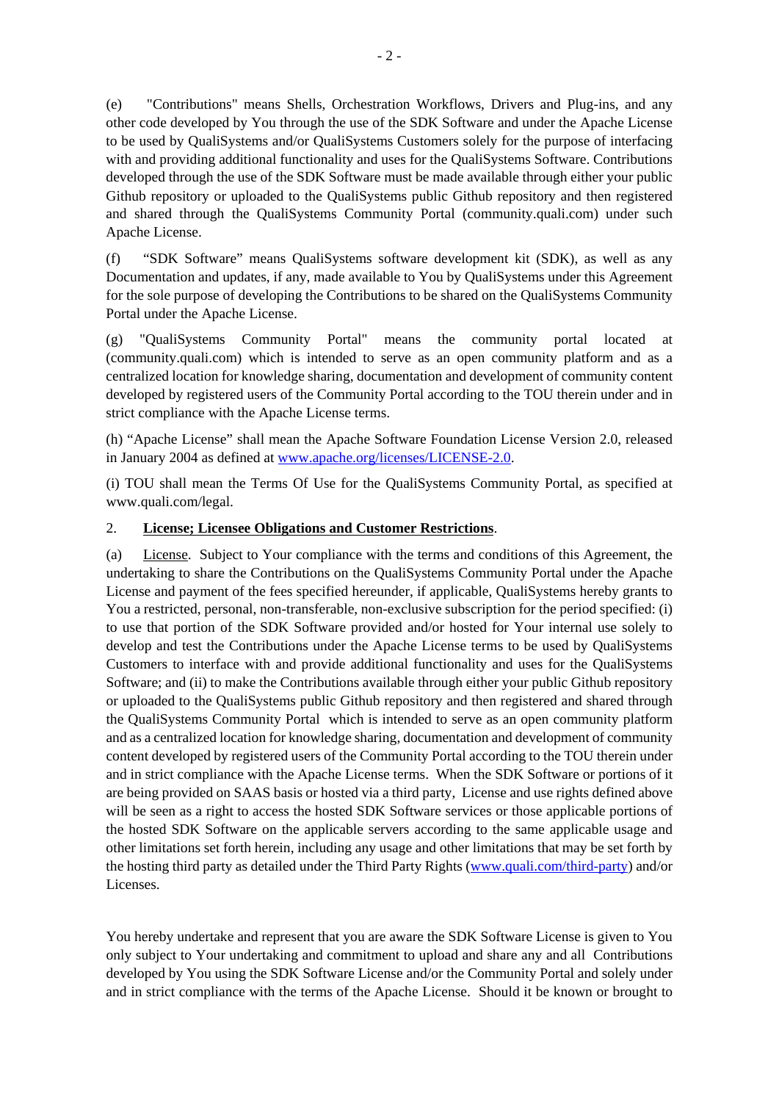(e) "Contributions" means Shells, Orchestration Workflows, Drivers and Plug-ins, and any other code developed by You through the use of the SDK Software and under the Apache License to be used by QualiSystems and/or QualiSystems Customers solely for the purpose of interfacing with and providing additional functionality and uses for the QualiSystems Software. Contributions developed through the use of the SDK Software must be made available through either your public Github repository or uploaded to the QualiSystems public Github repository and then registered and shared through the QualiSystems Community Portal (community.quali.com) under such Apache License.

(f) "SDK Software" means QualiSystems software development kit (SDK), as well as any Documentation and updates, if any, made available to You by QualiSystems under this Agreement for the sole purpose of developing the Contributions to be shared on the QualiSystems Community Portal under the Apache License.

(g) "QualiSystems Community Portal" means the community portal located at (community.quali.com) which is intended to serve as an open community platform and as a centralized location for knowledge sharing, documentation and development of community content developed by registered users of the Community Portal according to the TOU therein under and in strict compliance with the Apache License terms.

(h) "Apache License" shall mean the Apache Software Foundation License Version 2.0, released in January 2004 as defined at [www.apache.org/licenses/LICENSE-2.0.](http://www.apache.org/licenses/LICENSE-2.0)

(i) TOU shall mean the Terms Of Use for the QualiSystems Community Portal, as specified at www.quali.com/legal.

## 2. **License; Licensee Obligations and Customer Restrictions**.

(a) License. Subject to Your compliance with the terms and conditions of this Agreement, the undertaking to share the Contributions on the QualiSystems Community Portal under the Apache License and payment of the fees specified hereunder, if applicable, QualiSystems hereby grants to You a restricted, personal, non-transferable, non-exclusive subscription for the period specified: (i) to use that portion of the SDK Software provided and/or hosted for Your internal use solely to develop and test the Contributions under the Apache License terms to be used by QualiSystems Customers to interface with and provide additional functionality and uses for the QualiSystems Software; and (ii) to make the Contributions available through either your public Github repository or uploaded to the QualiSystems public Github repository and then registered and shared through the QualiSystems Community Portal which is intended to serve as an open community platform and as a centralized location for knowledge sharing, documentation and development of community content developed by registered users of the Community Portal according to the TOU therein under and in strict compliance with the Apache License terms. When the SDK Software or portions of it are being provided on SAAS basis or hosted via a third party, License and use rights defined above will be seen as a right to access the hosted SDK Software services or those applicable portions of the hosted SDK Software on the applicable servers according to the same applicable usage and other limitations set forth herein, including any usage and other limitations that may be set forth by the hosting third party as detailed under the Third Party Rights [\(www.quali.com/third-party\)](http://www.quali.com/third-party) and/or Licenses.

You hereby undertake and represent that you are aware the SDK Software License is given to You only subject to Your undertaking and commitment to upload and share any and all Contributions developed by You using the SDK Software License and/or the Community Portal and solely under and in strict compliance with the terms of the Apache License. Should it be known or brought to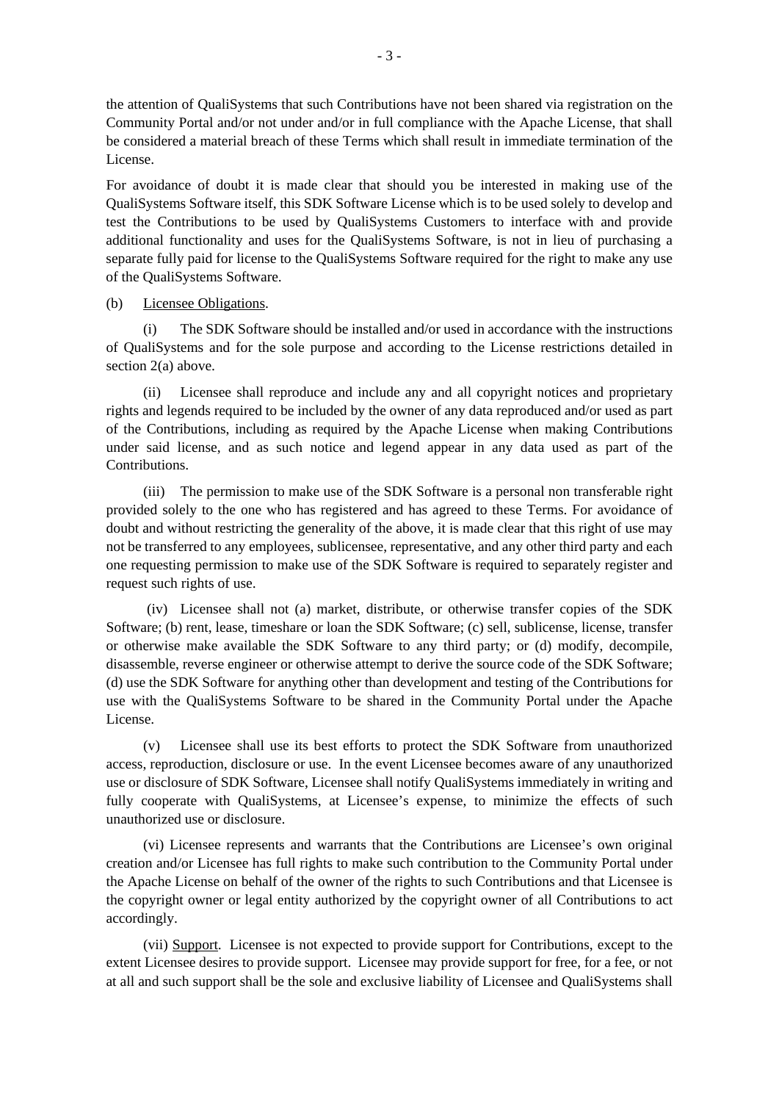the attention of QualiSystems that such Contributions have not been shared via registration on the Community Portal and/or not under and/or in full compliance with the Apache License, that shall be considered a material breach of these Terms which shall result in immediate termination of the License.

For avoidance of doubt it is made clear that should you be interested in making use of the QualiSystems Software itself, this SDK Software License which is to be used solely to develop and test the Contributions to be used by QualiSystems Customers to interface with and provide additional functionality and uses for the QualiSystems Software, is not in lieu of purchasing a separate fully paid for license to the QualiSystems Software required for the right to make any use of the QualiSystems Software.

#### (b) Licensee Obligations.

(i) The SDK Software should be installed and/or used in accordance with the instructions of QualiSystems and for the sole purpose and according to the License restrictions detailed in section 2(a) above.

(ii) Licensee shall reproduce and include any and all copyright notices and proprietary rights and legends required to be included by the owner of any data reproduced and/or used as part of the Contributions, including as required by the Apache License when making Contributions under said license, and as such notice and legend appear in any data used as part of the Contributions.

(iii) The permission to make use of the SDK Software is a personal non transferable right provided solely to the one who has registered and has agreed to these Terms. For avoidance of doubt and without restricting the generality of the above, it is made clear that this right of use may not be transferred to any employees, sublicensee, representative, and any other third party and each one requesting permission to make use of the SDK Software is required to separately register and request such rights of use.

 (iv) Licensee shall not (a) market, distribute, or otherwise transfer copies of the SDK Software; (b) rent, lease, timeshare or loan the SDK Software; (c) sell, sublicense, license, transfer or otherwise make available the SDK Software to any third party; or (d) modify, decompile, disassemble, reverse engineer or otherwise attempt to derive the source code of the SDK Software; (d) use the SDK Software for anything other than development and testing of the Contributions for use with the QualiSystems Software to be shared in the Community Portal under the Apache License.

(v) Licensee shall use its best efforts to protect the SDK Software from unauthorized access, reproduction, disclosure or use. In the event Licensee becomes aware of any unauthorized use or disclosure of SDK Software, Licensee shall notify QualiSystems immediately in writing and fully cooperate with QualiSystems, at Licensee's expense, to minimize the effects of such unauthorized use or disclosure.

(vi) Licensee represents and warrants that the Contributions are Licensee's own original creation and/or Licensee has full rights to make such contribution to the Community Portal under the Apache License on behalf of the owner of the rights to such Contributions and that Licensee is the copyright owner or legal entity authorized by the copyright owner of all Contributions to act accordingly.

(vii) Support. Licensee is not expected to provide support for Contributions, except to the extent Licensee desires to provide support. Licensee may provide support for free, for a fee, or not at all and such support shall be the sole and exclusive liability of Licensee and QualiSystems shall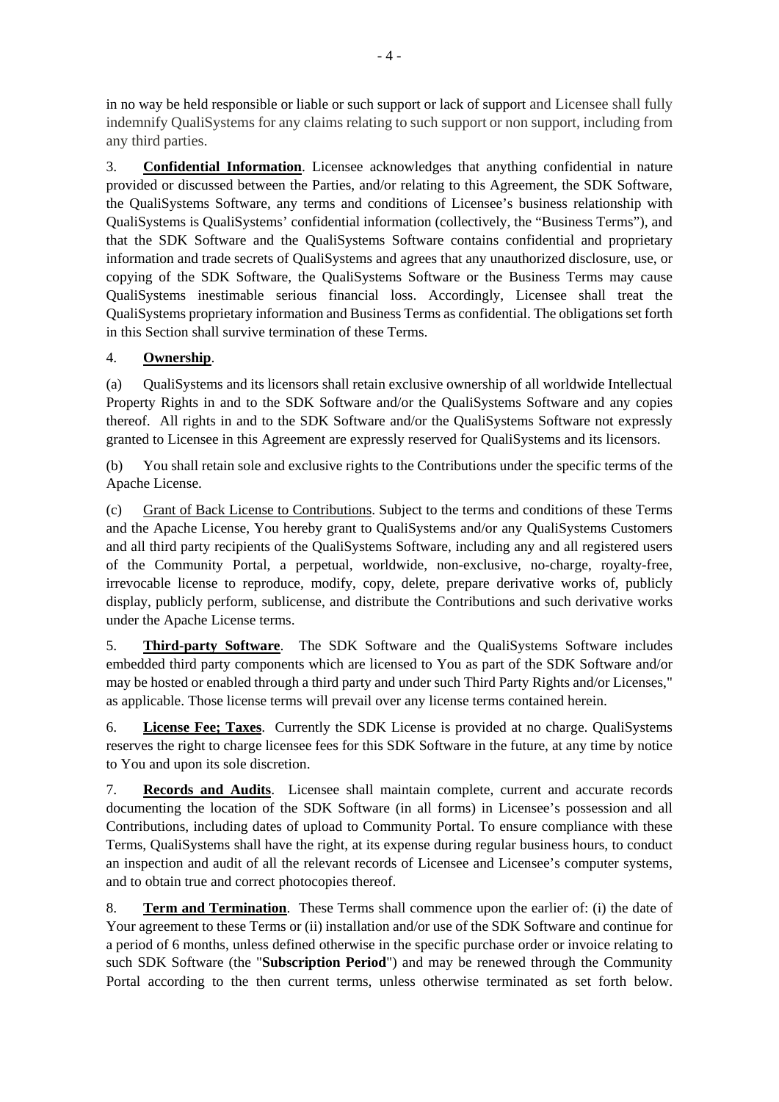in no way be held responsible or liable or such support or lack of support and Licensee shall fully indemnify QualiSystems for any claims relating to such support or non support, including from any third parties.

3. **Confidential Information**. Licensee acknowledges that anything confidential in nature provided or discussed between the Parties, and/or relating to this Agreement, the SDK Software, the QualiSystems Software, any terms and conditions of Licensee's business relationship with QualiSystems is QualiSystems' confidential information (collectively, the "Business Terms"), and that the SDK Software and the QualiSystems Software contains confidential and proprietary information and trade secrets of QualiSystems and agrees that any unauthorized disclosure, use, or copying of the SDK Software, the QualiSystems Software or the Business Terms may cause QualiSystems inestimable serious financial loss. Accordingly, Licensee shall treat the QualiSystems proprietary information and Business Terms as confidential. The obligations set forth in this Section shall survive termination of these Terms.

# 4. **Ownership**.

(a) QualiSystems and its licensors shall retain exclusive ownership of all worldwide Intellectual Property Rights in and to the SDK Software and/or the QualiSystems Software and any copies thereof. All rights in and to the SDK Software and/or the QualiSystems Software not expressly granted to Licensee in this Agreement are expressly reserved for QualiSystems and its licensors.

(b) You shall retain sole and exclusive rights to the Contributions under the specific terms of the Apache License.

(c) Grant of Back License to Contributions. Subject to the terms and conditions of these Terms and the Apache License, You hereby grant to QualiSystems and/or any QualiSystems Customers and all third party recipients of the QualiSystems Software, including any and all registered users of the Community Portal, a perpetual, worldwide, non-exclusive, no-charge, royalty-free, irrevocable license to reproduce, modify, copy, delete, prepare derivative works of, publicly display, publicly perform, sublicense, and distribute the Contributions and such derivative works under the Apache License terms.

5. **Third-party Software**. The SDK Software and the QualiSystems Software includes embedded third party components which are licensed to You as part of the SDK Software and/or may be hosted or enabled through a third party and under such Third Party Rights and/or Licenses," as applicable. Those license terms will prevail over any license terms contained herein.

6. **License Fee; Taxes**. Currently the SDK License is provided at no charge. QualiSystems reserves the right to charge licensee fees for this SDK Software in the future, at any time by notice to You and upon its sole discretion.

7. **Records and Audits**. Licensee shall maintain complete, current and accurate records documenting the location of the SDK Software (in all forms) in Licensee's possession and all Contributions, including dates of upload to Community Portal. To ensure compliance with these Terms, QualiSystems shall have the right, at its expense during regular business hours, to conduct an inspection and audit of all the relevant records of Licensee and Licensee's computer systems, and to obtain true and correct photocopies thereof.

8. **Term and Termination**. These Terms shall commence upon the earlier of: (i) the date of Your agreement to these Terms or (ii) installation and/or use of the SDK Software and continue for a period of 6 months, unless defined otherwise in the specific purchase order or invoice relating to such SDK Software (the "**Subscription Period**") and may be renewed through the Community Portal according to the then current terms, unless otherwise terminated as set forth below.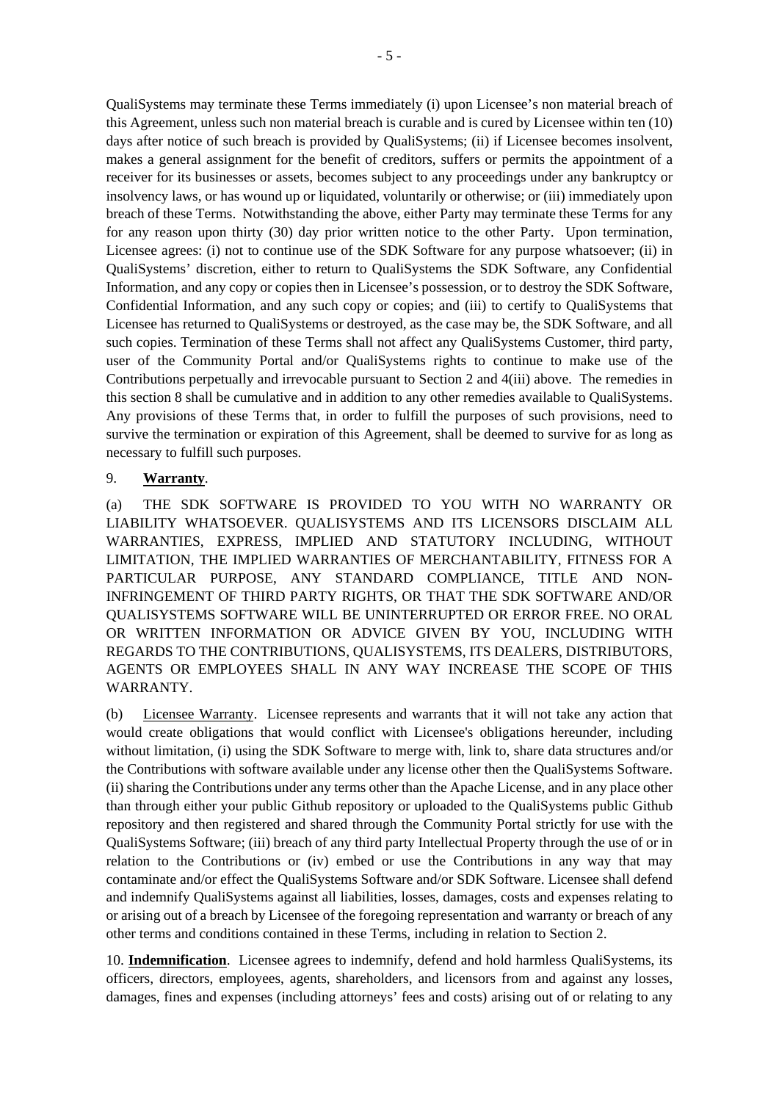QualiSystems may terminate these Terms immediately (i) upon Licensee's non material breach of this Agreement, unless such non material breach is curable and is cured by Licensee within ten (10) days after notice of such breach is provided by QualiSystems; (ii) if Licensee becomes insolvent, makes a general assignment for the benefit of creditors, suffers or permits the appointment of a receiver for its businesses or assets, becomes subject to any proceedings under any bankruptcy or insolvency laws, or has wound up or liquidated, voluntarily or otherwise; or (iii) immediately upon breach of these Terms. Notwithstanding the above, either Party may terminate these Terms for any for any reason upon thirty (30) day prior written notice to the other Party. Upon termination, Licensee agrees: (i) not to continue use of the SDK Software for any purpose whatsoever; (ii) in QualiSystems' discretion, either to return to QualiSystems the SDK Software, any Confidential Information, and any copy or copies then in Licensee's possession, or to destroy the SDK Software, Confidential Information, and any such copy or copies; and (iii) to certify to QualiSystems that Licensee has returned to QualiSystems or destroyed, as the case may be, the SDK Software, and all such copies. Termination of these Terms shall not affect any QualiSystems Customer, third party, user of the Community Portal and/or QualiSystems rights to continue to make use of the Contributions perpetually and irrevocable pursuant to Section 2 and 4(iii) above. The remedies in this section 8 shall be cumulative and in addition to any other remedies available to QualiSystems. Any provisions of these Terms that, in order to fulfill the purposes of such provisions, need to survive the termination or expiration of this Agreement, shall be deemed to survive for as long as necessary to fulfill such purposes.

## 9. **Warranty**.

(a) THE SDK SOFTWARE IS PROVIDED TO YOU WITH NO WARRANTY OR LIABILITY WHATSOEVER. QUALISYSTEMS AND ITS LICENSORS DISCLAIM ALL WARRANTIES, EXPRESS, IMPLIED AND STATUTORY INCLUDING, WITHOUT LIMITATION, THE IMPLIED WARRANTIES OF MERCHANTABILITY, FITNESS FOR A PARTICULAR PURPOSE, ANY STANDARD COMPLIANCE, TITLE AND NON-INFRINGEMENT OF THIRD PARTY RIGHTS, OR THAT THE SDK SOFTWARE AND/OR QUALISYSTEMS SOFTWARE WILL BE UNINTERRUPTED OR ERROR FREE. NO ORAL OR WRITTEN INFORMATION OR ADVICE GIVEN BY YOU, INCLUDING WITH REGARDS TO THE CONTRIBUTIONS, QUALISYSTEMS, ITS DEALERS, DISTRIBUTORS, AGENTS OR EMPLOYEES SHALL IN ANY WAY INCREASE THE SCOPE OF THIS WARRANTY.

(b) Licensee Warranty. Licensee represents and warrants that it will not take any action that would create obligations that would conflict with Licensee's obligations hereunder, including without limitation, (i) using the SDK Software to merge with, link to, share data structures and/or the Contributions with software available under any license other then the QualiSystems Software. (ii) sharing the Contributions under any terms other than the Apache License, and in any place other than through either your public Github repository or uploaded to the QualiSystems public Github repository and then registered and shared through the Community Portal strictly for use with the QualiSystems Software; (iii) breach of any third party Intellectual Property through the use of or in relation to the Contributions or (iv) embed or use the Contributions in any way that may contaminate and/or effect the QualiSystems Software and/or SDK Software. Licensee shall defend and indemnify QualiSystems against all liabilities, losses, damages, costs and expenses relating to or arising out of a breach by Licensee of the foregoing representation and warranty or breach of any other terms and conditions contained in these Terms, including in relation to Section 2.

10. **Indemnification**. Licensee agrees to indemnify, defend and hold harmless QualiSystems, its officers, directors, employees, agents, shareholders, and licensors from and against any losses, damages, fines and expenses (including attorneys' fees and costs) arising out of or relating to any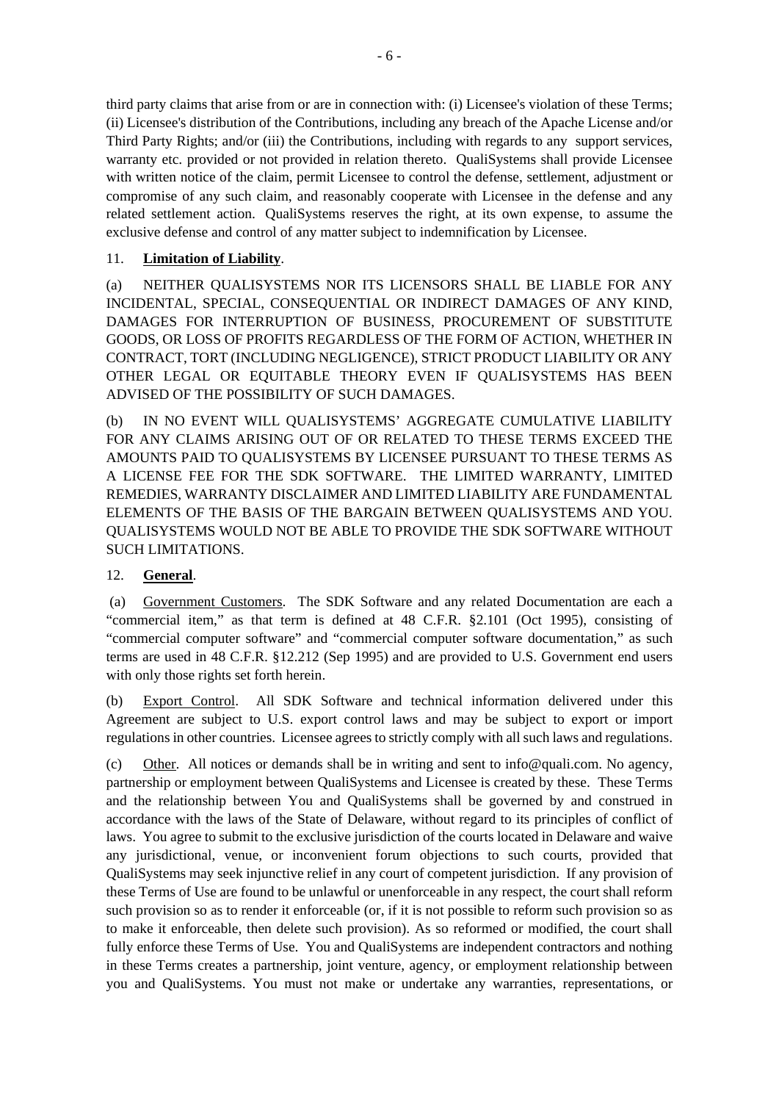third party claims that arise from or are in connection with: (i) Licensee's violation of these Terms; (ii) Licensee's distribution of the Contributions, including any breach of the Apache License and/or Third Party Rights; and/or (iii) the Contributions, including with regards to any support services, warranty etc. provided or not provided in relation thereto. QualiSystems shall provide Licensee with written notice of the claim, permit Licensee to control the defense, settlement, adjustment or compromise of any such claim, and reasonably cooperate with Licensee in the defense and any related settlement action. QualiSystems reserves the right, at its own expense, to assume the exclusive defense and control of any matter subject to indemnification by Licensee.

# 11. **Limitation of Liability**.

(a) NEITHER QUALISYSTEMS NOR ITS LICENSORS SHALL BE LIABLE FOR ANY INCIDENTAL, SPECIAL, CONSEQUENTIAL OR INDIRECT DAMAGES OF ANY KIND, DAMAGES FOR INTERRUPTION OF BUSINESS, PROCUREMENT OF SUBSTITUTE GOODS, OR LOSS OF PROFITS REGARDLESS OF THE FORM OF ACTION, WHETHER IN CONTRACT, TORT (INCLUDING NEGLIGENCE), STRICT PRODUCT LIABILITY OR ANY OTHER LEGAL OR EQUITABLE THEORY EVEN IF QUALISYSTEMS HAS BEEN ADVISED OF THE POSSIBILITY OF SUCH DAMAGES.

(b) IN NO EVENT WILL QUALISYSTEMS' AGGREGATE CUMULATIVE LIABILITY FOR ANY CLAIMS ARISING OUT OF OR RELATED TO THESE TERMS EXCEED THE AMOUNTS PAID TO QUALISYSTEMS BY LICENSEE PURSUANT TO THESE TERMS AS A LICENSE FEE FOR THE SDK SOFTWARE. THE LIMITED WARRANTY, LIMITED REMEDIES, WARRANTY DISCLAIMER AND LIMITED LIABILITY ARE FUNDAMENTAL ELEMENTS OF THE BASIS OF THE BARGAIN BETWEEN QUALISYSTEMS AND YOU. QUALISYSTEMS WOULD NOT BE ABLE TO PROVIDE THE SDK SOFTWARE WITHOUT SUCH LIMITATIONS.

## 12. **General**.

 (a) Government Customers. The SDK Software and any related Documentation are each a "commercial item," as that term is defined at 48 C.F.R. §2.101 (Oct 1995), consisting of "commercial computer software" and "commercial computer software documentation," as such terms are used in 48 C.F.R. §12.212 (Sep 1995) and are provided to U.S. Government end users with only those rights set forth herein.

(b) Export Control. All SDK Software and technical information delivered under this Agreement are subject to U.S. export control laws and may be subject to export or import regulations in other countries. Licensee agrees to strictly comply with all such laws and regulations.

(c) Other. All notices or demands shall be in writing and sent to info@quali.com. No agency, partnership or employment between QualiSystems and Licensee is created by these. These Terms and the relationship between You and QualiSystems shall be governed by and construed in accordance with the laws of the State of Delaware, without regard to its principles of conflict of laws. You agree to submit to the exclusive jurisdiction of the courts located in Delaware and waive any jurisdictional, venue, or inconvenient forum objections to such courts, provided that QualiSystems may seek injunctive relief in any court of competent jurisdiction. If any provision of these Terms of Use are found to be unlawful or unenforceable in any respect, the court shall reform such provision so as to render it enforceable (or, if it is not possible to reform such provision so as to make it enforceable, then delete such provision). As so reformed or modified, the court shall fully enforce these Terms of Use. You and QualiSystems are independent contractors and nothing in these Terms creates a partnership, joint venture, agency, or employment relationship between you and QualiSystems. You must not make or undertake any warranties, representations, or